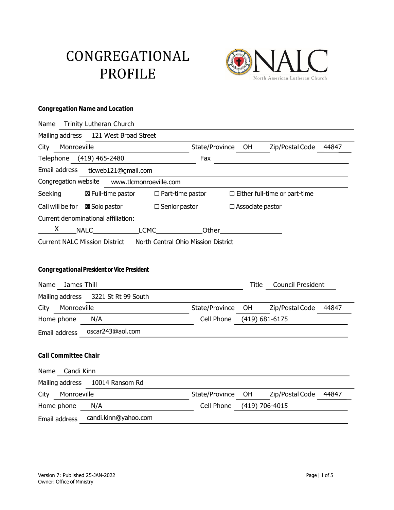# CONGREGATIONAL PROFILE



#### **Congregation Name and Location**

| Name Trinity Lutheran Church                                      |                                                         |
|-------------------------------------------------------------------|---------------------------------------------------------|
| Mailing address<br>121 West Broad Street                          |                                                         |
| Monroeville<br>City                                               | Zip/Postal Code<br>State/Province OH<br>44847           |
| Telephone (419) 465-2480                                          | Fax                                                     |
| Email address<br>tlcweb121@gmail.com                              |                                                         |
| Congregation website www.tlcmonroeville.com                       |                                                         |
| Seeking<br>⊠ Full-time pastor □ Part-time pastor                  | $\Box$ Either full-time or part-time                    |
| Call will be for $\boxtimes$ Solo pastor $\Box$ Senior pastor     | $\Box$ Associate pastor                                 |
| Current denominational affiliation:                               |                                                         |
|                                                                   |                                                         |
| Current NALC Mission District North Central Ohio Mission District |                                                         |
|                                                                   |                                                         |
| <b>Congregational President or Vice President</b>                 |                                                         |
| Name James Thill                                                  | <b>Council President</b><br>Title                       |
|                                                                   |                                                         |
| Mailing address<br>3221 St Rt 99 South                            |                                                         |
| Monroeville<br>City                                               | State/Province<br>OH<br>Zip/Postal Code<br>44847        |
| Home phone<br>N/A                                                 | Cell Phone<br>$(419)$ 681-6175                          |
| oscar243@aol.com<br>Email address                                 |                                                         |
|                                                                   |                                                         |
| <b>Call Committee Chair</b>                                       |                                                         |
| Candi Kinn<br>Name                                                |                                                         |
| Mailing address 10014 Ransom Rd                                   |                                                         |
| Monroeville<br>City                                               | 44847<br>State/Province<br><b>OH</b><br>Zip/Postal Code |
| Home phone<br>N/A                                                 | Cell Phone<br>(419) 706-4015                            |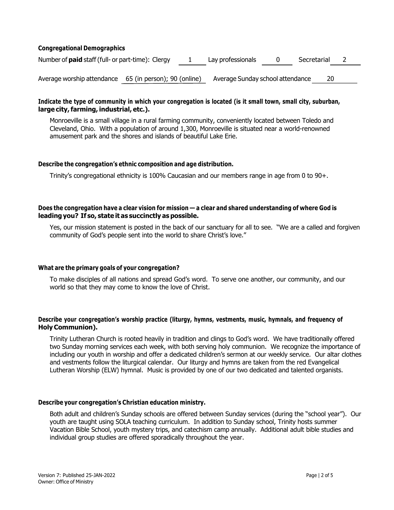#### **Congregational Demographics**

| Number of <b>paid</b> staff (full- or part-time): Clergy | 1 Lay professionals 0 Secretarial 2 |  |  |
|----------------------------------------------------------|-------------------------------------|--|--|
|                                                          |                                     |  |  |

Average worship attendance 65 (in person); 90 (online) Average Sunday school attendance 20

#### Indicate the type of community in which your congregation is located (is it small town, small city, suburban, **large city,farming, industrial, etc.).**

Monroeville is a small village in a rural farming community, conveniently located between Toledo and Cleveland, Ohio. With a population of around 1,300, Monroeville is situated near a world-renowned amusement park and the shores and islands of beautiful Lake Erie.

#### **Describe the congregation's ethnic composition and age distribution.**

Trinity's congregational ethnicity is 100% Caucasian and our members range in age from 0 to 90+.

#### Does the congregation have a clear vision for mission - a clear and shared understanding of where God is **leadingyou? If so, state it as succinctly as possible.**

Yes, our mission statement is posted in the back of our sanctuary for all to see. "We are a called and forgiven community of God's people sent into the world to share Christ's love."

#### **What are the primary goals of your congregation?**

To make disciples of all nations and spread God's word. To serve one another, our community, and our world so that they may come to know the love of Christ.

#### **Describe your congregation's worship practice (liturgy, hymns, vestments, music, hymnals, and frequency of Holy Communion).**

Trinity Lutheran Church is rooted heavily in tradition and clings to God's word. We have traditionally offered two Sunday morning services each week, with both serving holy communion. We recognize the importance of including our youth in worship and offer a dedicated children's sermon at our weekly service. Our altar clothes and vestments follow the liturgical calendar. Our liturgy and hymns are taken from the red Evangelical Lutheran Worship (ELW) hymnal. Music is provided by one of our two dedicated and talented organists.

#### **Describe your congregation's Christian education ministry.**

Both adult and children's Sunday schools are offered between Sunday services (during the "school year"). Our youth are taught using SOLA teaching curriculum. In addition to Sunday school, Trinity hosts summer Vacation Bible School, youth mystery trips, and catechism camp annually. Additional adult bible studies and individual group studies are offered sporadically throughout the year.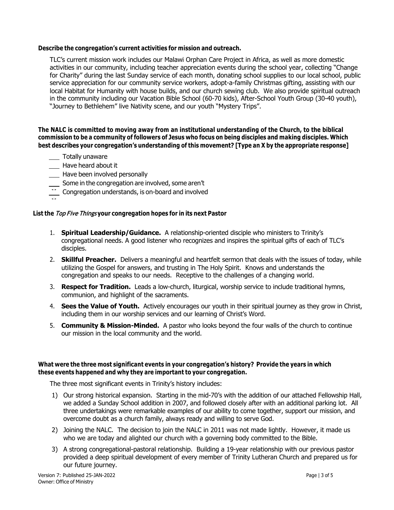#### **Describe the congregation's current activities for mission and outreach.**

TLC's current mission work includes our Malawi Orphan Care Project in Africa, as well as more domestic activities in our community, including teacher appreciation events during the school year, collecting "Change for Charity" during the last Sunday service of each month, donating school supplies to our local school, public service appreciation for our community service workers, adopt-a-family Christmas gifting, assisting with our local Habitat for Humanity with house builds, and our church sewing club. We also provide spiritual outreach in the community including our Vacation Bible School (60-70 kids), After-School Youth Group (30-40 youth), "Journey to Bethlehem" live Nativity scene, and our youth "Mystery Trips".

#### **The NALC is committed to moving away from an institutional understanding of the Church, to the biblical** commission to be a community of followers of Jesus who focus on being disciples and making disciples. Which **best describes your congregation's understanding of this movement? [Type an X by the appropriate response]**

- Totally unaware
- **Have heard about it**
- Have been involved personally
- Some in the congregation are involved, some aren't
- Congregation understands, is on-board and involved **X** tlcweb121@gmail.com **X** tlcweb121@gmail.com

## **List the Top Five Things your congregation hopes for in its next Pastor**

- 1. **Spiritual Leadership/Guidance.** A relationship-oriented disciple who ministers to Trinity's congregational needs. A good listener who recognizes and inspires the spiritual gifts of each of TLC's disciples.
- 2. **Skillful Preacher.** Delivers a meaningful and heartfelt sermon that deals with the issues of today, while utilizing the Gospel for answers, and trusting in The Holy Spirit. Knows and understands the congregation and speaks to our needs. Receptive to the challenges of a changing world.
- 3. **Respect for Tradition.** Leads a low-church, liturgical, worship service to include traditional hymns, communion, and highlight of the sacraments.
- 4. **Sees the Value of Youth.** Actively encourages our youth in their spiritual journey as they grow in Christ, including them in our worship services and our learning of Christ's Word.
- 5. **Community & Mission-Minded.** A pastor who looks beyond the four walls of the church to continue our mission in the local community and the world.

#### **What were the three most significant events in your congregation's history? Provide the years in which these events happened and why they are important to your congregation.**

The three most significant events in Trinity's history includes:

- 1) Our strong historical expansion. Starting in the mid-70's with the addition of our attached Fellowship Hall, we added a Sunday School addition in 2007, and followed closely after with an additional parking lot. All three undertakings were remarkable examples of our ability to come together, support our mission, and overcome doubt as a church family, always ready and willing to serve God.
- 2) Joining the NALC. The decision to join the NALC in 2011 was not made lightly. However, it made us who we are today and alighted our church with a governing body committed to the Bible.
- 3) A strong congregational-pastoral relationship. Building a 19-year relationship with our previous pastor provided a deep spiritual development of every member of Trinity Lutheran Church and prepared us for our future journey.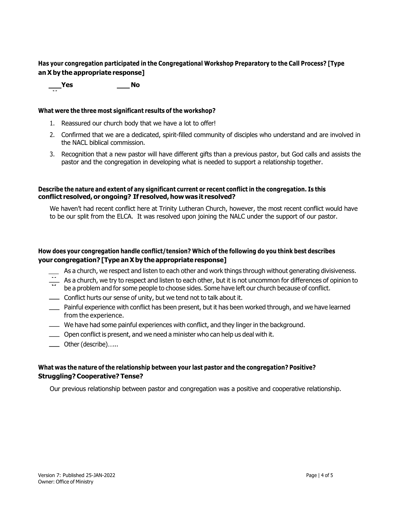#### **Has your congregation participated in the Congregational Workshop Preparatory to the Call Process? [Type an Xby the appropriate response]**

\_\_\_Yes \_\_\_\_No

**X**

#### **What were the three most significant results of the workshop?**

- 1. Reassured our church body that we have a lot to offer!
- 2. Confirmed that we are a dedicated, spirit-filled community of disciples who understand and are involved in the NACL biblical commission.
- 3. Recognition that a new pastor will have different gifts than a previous pastor, but God calls and assists the pastor and the congregation in developing what is needed to support a relationship together.

#### **Describe the nature and extent of any significant current or recent conflict in the congregation. Is this conflict resolved,orongoing? If resolved,howwas it resolved?**

We haven't had recent conflict here at Trinity Lutheran Church, however, the most recent conflict would have to be our split from the ELCA. It was resolved upon joining the NALC under the support of our pastor.

#### **How does your congregation handle conflict/tension? Which of the following do you think best describes your congregation? [Type anXby the appropriate response]**

- As a church, we respect and listen to each other and work things through without generating divisiveness.
- As a church, we try to respect and listen to each other, but it is not uncommon for differences of opinion to be a problem and for some people to choose sides. Some have left our church because of conflict.  $\ddot{}$  $\ddot{\phantom{0}}$
- **Conflict hurts our sense of unity, but we tend not to talk about it.**
- Painful experience with conflict has been present, but it has been worked through, and we have learned from the experience.
- We have had some painful experiences with conflict, and they linger in the background.
- Open conflict is present, and we need a minister who can help us deal with it.
- Other (describe)…...

#### **What was the nature of the relationship between your last pastor and the congregation? Positive? Struggling? Cooperative? Tense?**

Our previous relationship between pastor and congregation was a positive and cooperative relationship.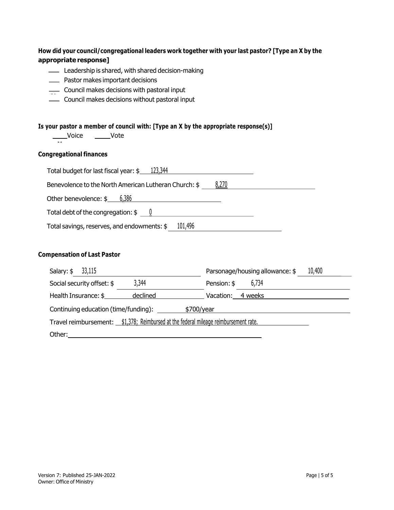#### **How did your council/congregational leaders work together with your last pastor? [Type an X by the appropriate response]**

- Leadership is shared, with shared decision-making
- **EXECUTE:** Pastor makes important decisions
- $\equiv$  Council makes decisions with pastoral input
- Council makes decisions without pastoral input **X**

#### **Is your pastor a member of council with: [Type an X by the appropriate response(s)]**

Voice <u>\_\_\_\_\_</u>Vote

#### **Congregational finances**

**X** tlcweb121@gmail.com

| Total budget for last fiscal year: \$ | 123,344 |
|---------------------------------------|---------|
|                                       |         |

Benevolence to the North American Lutheran Church:  $\frac{8,270}{8}$ 

| Other benevolence: \$ | 6,386 |
|-----------------------|-------|
|                       |       |

Total debt of the congregation:  $\frac{6}{5}$  0

Total savings, reserves, and endowments: \$ 101,496

#### **Compensation of Last Pastor**

| Salary: $$3,115$                                                                     | 10,400<br>Parsonage/housing allowance: \$ |  |
|--------------------------------------------------------------------------------------|-------------------------------------------|--|
| 3,344<br>Social security offset: \$                                                  | 6,734<br>Pension: \$                      |  |
| Health Insurance: \$<br>declined                                                     | Vacation: 4 weeks                         |  |
| Continuing education (time/funding):<br>\$700/year                                   |                                           |  |
| Travel reimbursement: \$1,378; Reimbursed at the federal mileage reimbursement rate. |                                           |  |
| Other:                                                                               |                                           |  |

Other benevolence: \$ 6,386